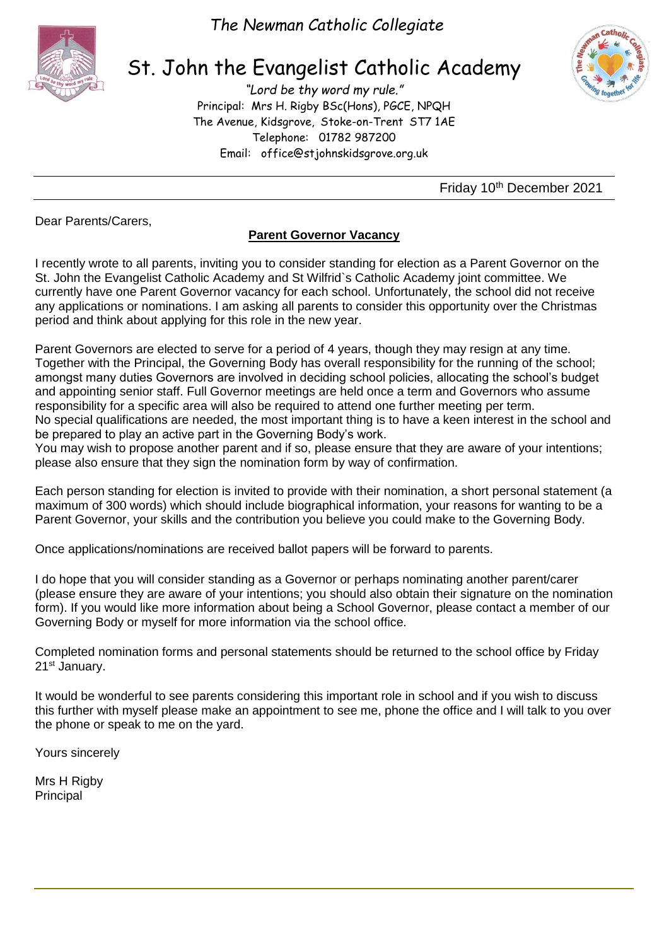

*The Newman Catholic Collegiate*

## St. John the Evangelist Catholic Academy

*"Lord be thy word my rule."* Principal: Mrs H. Rigby BSc(Hons), PGCE, NPQH The Avenue, Kidsgrove, Stoke-on-Trent ST7 1AE Telephone: 01782 987200 Email: [office@stjohnskidsgrove.org.uk](mailto:office@stjohnskidsgrove.org.uk)



Friday 10<sup>th</sup> December 2021

Dear Parents/Carers,

## **Parent Governor Vacancy**

I recently wrote to all parents, inviting you to consider standing for election as a Parent Governor on the St. John the Evangelist Catholic Academy and St Wilfrid`s Catholic Academy joint committee. We currently have one Parent Governor vacancy for each school. Unfortunately, the school did not receive any applications or nominations. I am asking all parents to consider this opportunity over the Christmas period and think about applying for this role in the new year.

Parent Governors are elected to serve for a period of 4 years, though they may resign at any time. Together with the Principal, the Governing Body has overall responsibility for the running of the school; amongst many duties Governors are involved in deciding school policies, allocating the school's budget and appointing senior staff. Full Governor meetings are held once a term and Governors who assume responsibility for a specific area will also be required to attend one further meeting per term. No special qualifications are needed, the most important thing is to have a keen interest in the school and be prepared to play an active part in the Governing Body's work.

You may wish to propose another parent and if so, please ensure that they are aware of your intentions; please also ensure that they sign the nomination form by way of confirmation.

Each person standing for election is invited to provide with their nomination, a short personal statement (a maximum of 300 words) which should include biographical information, your reasons for wanting to be a Parent Governor, your skills and the contribution you believe you could make to the Governing Body.

Once applications/nominations are received ballot papers will be forward to parents.

I do hope that you will consider standing as a Governor or perhaps nominating another parent/carer (please ensure they are aware of your intentions; you should also obtain their signature on the nomination form). If you would like more information about being a School Governor, please contact a member of our Governing Body or myself for more information via the school office.

Completed nomination forms and personal statements should be returned to the school office by Friday 21<sup>st</sup> January.

It would be wonderful to see parents considering this important role in school and if you wish to discuss this further with myself please make an appointment to see me, phone the office and I will talk to you over the phone or speak to me on the yard.

Yours sincerely

Mrs H Rigby Principal